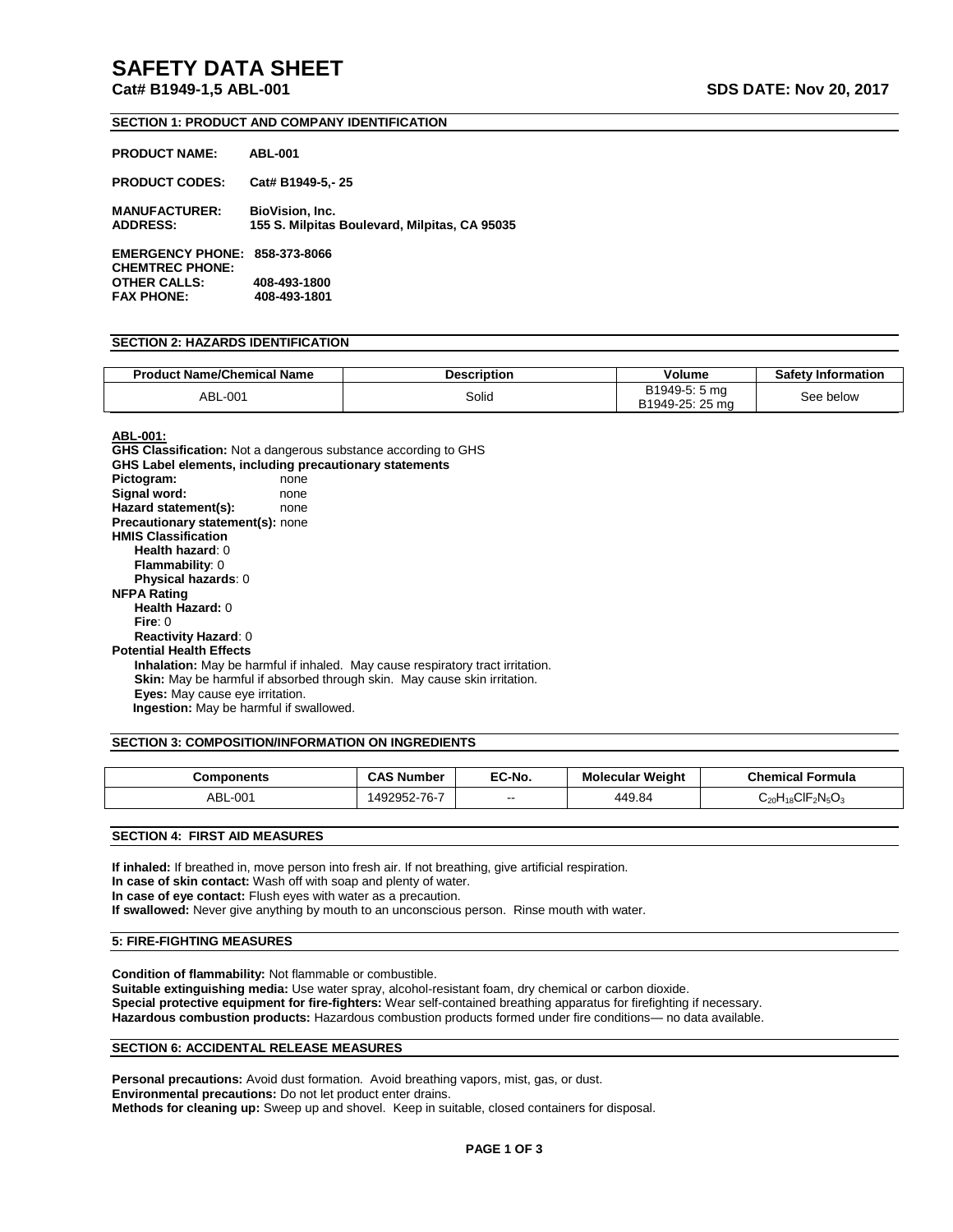## **SAFETY DATA SHEET**

**Cat# B1949-1,5 ABL-001 SDS DATE: Nov 20, 2017** 

#### **SECTION 1: PRODUCT AND COMPANY IDENTIFICATION**

| <b>PRODUCT NAME:</b>                              | <b>ABL-001</b>                                                          |
|---------------------------------------------------|-------------------------------------------------------------------------|
| <b>PRODUCT CODES:</b>                             | Cat# B1949-5.-25                                                        |
| <b>MANUFACTURER:</b><br><b>ADDRESS:</b>           | <b>BioVision, Inc.</b><br>155 S. Milpitas Boulevard, Milpitas, CA 95035 |
| <b>EMERGENCY PHONE:</b><br><b>CHEMTREC PHONE:</b> | 858-373-8066                                                            |
| <b>OTHER CALLS:</b>                               | 408-493-1800                                                            |
| <b>FAX PHONE:</b>                                 | 408-493-1801                                                            |

#### **SECTION 2: HAZARDS IDENTIFICATION**

| <b>Product Name/Chemical Name</b> | Description | Volume                              | <b>Safety Information</b> |
|-----------------------------------|-------------|-------------------------------------|---------------------------|
| ABL-001                           | Solid       | B1949-5: 5 ma<br>25 ma<br>B1949-25: | See<br>below              |

## **ABL-001:**

**GHS Classification:** Not a dangerous substance according to GHS **GHS Label elements, including precautionary statements** Pictogram: none Signal word: none **Hazard statement(s):** none **Precautionary statement(s):** none **HMIS Classification Health hazard**: 0 **Flammability**: 0 **Physical hazards**: 0 **NFPA Rating Health Hazard:** 0 **Fire**: 0 **Reactivity Hazard**: 0 **Potential Health Effects Inhalation:** May be harmful if inhaled. May cause respiratory tract irritation. **Skin:** May be harmful if absorbed through skin. May cause skin irritation. **Eyes:** May cause eye irritation.  **Ingestion:** May be harmful if swallowed.

#### **SECTION 3: COMPOSITION/INFORMATION ON INGREDIENTS**

| Components | <b>CAS Number</b> | EC-No. | <b>Molecular Weight</b> | Chemical<br>Formula                                                                 |
|------------|-------------------|--------|-------------------------|-------------------------------------------------------------------------------------|
| ABL-001    | 1492952-7         | $\sim$ | 449.84                  | $\mathsf{CIF}_{2}\mathsf{N}_{5}\mathsf{O}_{3}$<br>ن <sub>20</sub> H <sub>18</sub> ت |

**SECTION 4: FIRST AID MEASURES**

**If inhaled:** If breathed in, move person into fresh air. If not breathing, give artificial respiration. **In case of skin contact:** Wash off with soap and plenty of water. **In case of eye contact:** Flush eyes with water as a precaution. **If swallowed:** Never give anything by mouth to an unconscious person. Rinse mouth with water.

#### **5: FIRE-FIGHTING MEASURES**

**Condition of flammability:** Not flammable or combustible. **Suitable extinguishing media:** Use water spray, alcohol-resistant foam, dry chemical or carbon dioxide. **Special protective equipment for fire-fighters:** Wear self-contained breathing apparatus for firefighting if necessary. **Hazardous combustion products:** Hazardous combustion products formed under fire conditions— no data available.

#### **SECTION 6: ACCIDENTAL RELEASE MEASURES**

Personal precautions: Avoid dust formation. Avoid breathing vapors, mist, gas, or dust. **Environmental precautions:** Do not let product enter drains. **Methods for cleaning up:** Sweep up and shovel. Keep in suitable, closed containers for disposal.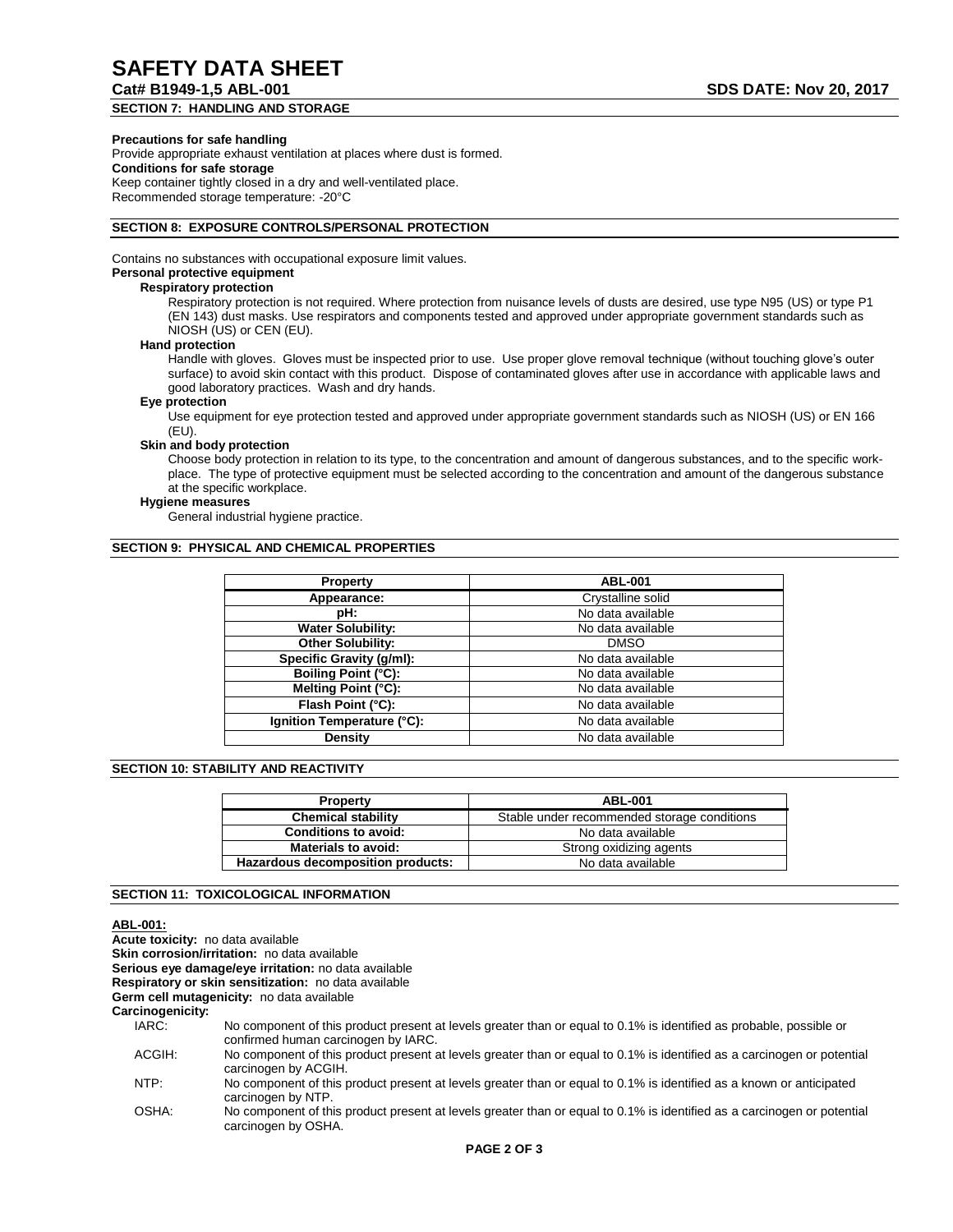# **Cat# B1949-1,5 ABL-001 SDS DATE: Nov 20, 2017**

**SECTION 7: HANDLING AND STORAGE**

#### **Precautions for safe handling**

Provide appropriate exhaust ventilation at places where dust is formed. **Conditions for safe storage** Keep container tightly closed in a dry and well-ventilated place. Recommended storage temperature: -20°C

#### **SECTION 8: EXPOSURE CONTROLS/PERSONAL PROTECTION**

Contains no substances with occupational exposure limit values.

## **Personal protective equipment**

#### **Respiratory protection**

Respiratory protection is not required. Where protection from nuisance levels of dusts are desired, use type N95 (US) or type P1 (EN 143) dust masks. Use respirators and components tested and approved under appropriate government standards such as NIOSH (US) or CEN (EU).

#### **Hand protection**

Handle with gloves. Gloves must be inspected prior to use. Use proper glove removal technique (without touching glove's outer surface) to avoid skin contact with this product. Dispose of contaminated gloves after use in accordance with applicable laws and good laboratory practices. Wash and dry hands.

#### **Eye protection**

Use equipment for eye protection tested and approved under appropriate government standards such as NIOSH (US) or EN 166 (EU).

#### **Skin and body protection**

Choose body protection in relation to its type, to the concentration and amount of dangerous substances, and to the specific workplace. The type of protective equipment must be selected according to the concentration and amount of the dangerous substance at the specific workplace.

#### **Hygiene measures**

General industrial hygiene practice.

#### **SECTION 9: PHYSICAL AND CHEMICAL PROPERTIES**

| <b>Property</b>            | <b>ABL-001</b>    |
|----------------------------|-------------------|
| Appearance:                | Crystalline solid |
| pH:                        | No data available |
| <b>Water Solubility:</b>   | No data available |
| Other Solubility:          | <b>DMSO</b>       |
| Specific Gravity (g/ml):   | No data available |
| Boiling Point (°C):        | No data available |
| Melting Point (°C):        | No data available |
| Flash Point (°C):          | No data available |
| Ignition Temperature (°C): | No data available |
| Density                    | No data available |

#### **SECTION 10: STABILITY AND REACTIVITY**

| <b>Property</b>                   | <b>ABL-001</b>                              |  |
|-----------------------------------|---------------------------------------------|--|
| <b>Chemical stability</b>         | Stable under recommended storage conditions |  |
| <b>Conditions to avoid:</b>       | No data available                           |  |
| <b>Materials to avoid:</b>        | Strong oxidizing agents                     |  |
| Hazardous decomposition products: | No data available                           |  |

#### **SECTION 11: TOXICOLOGICAL INFORMATION**

### **ABL-001:**

**Acute toxicity:** no data available **Skin corrosion/irritation:** no data available **Serious eye damage/eye irritation:** no data available **Respiratory or skin sensitization:** no data available **Germ cell mutagenicity:** no data available **Carcinogenicity:** IARC: No component of this product present at levels greater than or equal to 0.1% is identified as probable, possible or confirmed human carcinogen by IARC. ACGIH: No component of this product present at levels greater than or equal to 0.1% is identified as a carcinogen or potential carcinogen by ACGIH.

NTP: No component of this product present at levels greater than or equal to 0.1% is identified as a known or anticipated carcinogen by NTP.

OSHA: No component of this product present at levels greater than or equal to 0.1% is identified as a carcinogen or potential carcinogen by OSHA.